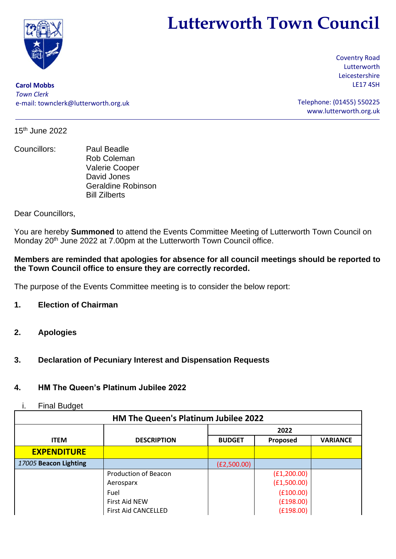

# **Lutterworth Town Council**

**Carol Mobbs** *Town Clerk* e-mail: [townclerk@lutterworth.org.uk](mailto:townclerk@lutterworth.org.uk) Coventry Road Lutterworth Leicestershire LE17 4SH

Telephone: (01455) 550225 [www.lutterworth.org.uk](http://www.lutterworth.org.uk/)

15th June 2022

Councillors: Paul Beadle Rob Coleman Valerie Cooper David Jones Geraldine Robinson Bill Zilberts

Dear Councillors,

You are hereby **Summoned** to attend the Events Committee Meeting of Lutterworth Town Council on Monday 20<sup>th</sup> June 2022 at 7.00pm at the Lutterworth Town Council office.

## **Members are reminded that apologies for absence for all council meetings should be reported to the Town Council office to ensure they are correctly recorded.**

The purpose of the Events Committee meeting is to consider the below report:

- **1. Election of Chairman**
- **2. Apologies**

# **3. Declaration of Pecuniary Interest and Dispensation Requests**

# **4. HM The Queen's Platinum Jubilee 2022**

## i. Final Budget

| HM The Queen's Platinum Jubilee 2022 |                             |               |             |                 |  |  |
|--------------------------------------|-----------------------------|---------------|-------------|-----------------|--|--|
|                                      |                             | 2022          |             |                 |  |  |
| <b>ITEM</b>                          | <b>DESCRIPTION</b>          | <b>BUDGET</b> | Proposed    | <b>VARIANCE</b> |  |  |
| <b>EXPENDITURE</b>                   |                             |               |             |                 |  |  |
| 17005 Beacon Lighting                |                             | (E2,500.00)   |             |                 |  |  |
|                                      | <b>Production of Beacon</b> |               | (E1,200.00) |                 |  |  |
|                                      | Aerosparx                   |               | (E1,500.00) |                 |  |  |
|                                      | Fuel                        |               | (E100.00)   |                 |  |  |
|                                      | First Aid NEW               |               | (E198.00)   |                 |  |  |
|                                      | <b>First Aid CANCELLED</b>  |               | (E198.00)   |                 |  |  |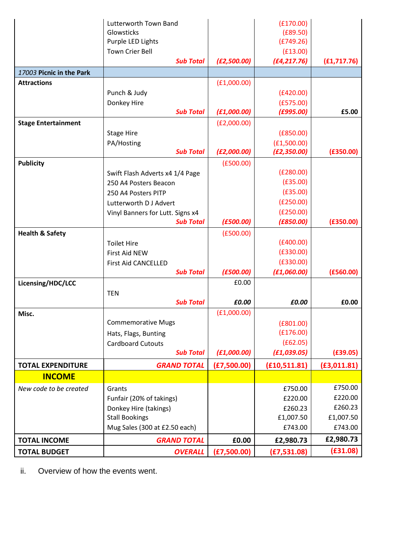|                            | Lutterworth Town Band                        |             | (E170.00)                |              |
|----------------------------|----------------------------------------------|-------------|--------------------------|--------------|
|                            | Glowsticks                                   |             | (E89.50)                 |              |
|                            | Purple LED Lights<br><b>Town Crier Bell</b>  |             | (E749.26)                |              |
|                            | <b>Sub Total</b>                             | (E2,500.00) | (E13.00)<br>(E4, 217.76) | (E1, 717.76) |
|                            |                                              |             |                          |              |
| 17003 Picnic in the Park   |                                              |             |                          |              |
| <b>Attractions</b>         |                                              | (E1,000.00) |                          |              |
|                            | Punch & Judy                                 |             | (E420.00)                |              |
|                            | Donkey Hire<br><b>Sub Total</b>              | (E1,000.00) | (E575.00)<br>(F995.00)   | £5.00        |
| <b>Stage Entertainment</b> |                                              | (E2,000.00) |                          |              |
|                            | <b>Stage Hire</b>                            |             | (E850.00)                |              |
|                            | PA/Hosting                                   |             | (E1,500.00)              |              |
|                            | <b>Sub Total</b>                             | (E2,000.00) | (E2, 350.00)             | (E350.00)    |
| <b>Publicity</b>           |                                              | (E500.00)   |                          |              |
|                            | Swift Flash Adverts x4 1/4 Page              |             | (E280.00)                |              |
|                            | 250 A4 Posters Beacon                        |             | (E35.00)                 |              |
|                            | 250 A4 Posters PITP                          |             | (E35.00)                 |              |
|                            | Lutterworth D J Advert                       |             | (E250.00)                |              |
|                            | Vinyl Banners for Lutt. Signs x4             |             | (E250.00)                |              |
|                            | <b>Sub Total</b>                             | (E500.00)   | (E850.00)                | (E350.00)    |
| <b>Health &amp; Safety</b> |                                              | (E500.00)   |                          |              |
|                            | <b>Toilet Hire</b>                           |             | (E400.00)                |              |
|                            | First Aid NEW                                |             | (E330.00)                |              |
|                            | <b>First Aid CANCELLED</b>                   |             | (E330.00)                |              |
|                            | <b>Sub Total</b>                             | (E500.00)   | (E1,060.00)              | (E560.00)    |
| Licensing/HDC/LCC          |                                              | £0.00       |                          |              |
|                            | <b>TEN</b>                                   |             |                          |              |
|                            | <b>Sub Total</b>                             | £0.00       | £0.00                    | £0.00        |
| Misc.                      |                                              | (E1,000.00) |                          |              |
|                            | <b>Commemorative Mugs</b>                    |             | (E801.00)<br>(E176.00)   |              |
|                            | Hats, Flags, Bunting                         |             | (f62.05)                 |              |
|                            | <b>Cardboard Cutouts</b><br><b>Sub Total</b> | (E1,000.00) | (E1, 039.05)             | (E39.05)     |
| <b>TOTAL EXPENDITURE</b>   | <b>GRAND TOTAL</b>                           | (E7,500.00) | (E10, 511.81)            | (E3, 011.81) |
| <b>INCOME</b>              |                                              |             |                          |              |
| New code to be created     | Grants                                       |             | £750.00                  | £750.00      |
|                            | Funfair (20% of takings)                     |             | £220.00                  | £220.00      |
|                            | Donkey Hire (takings)                        |             | £260.23                  | £260.23      |
|                            | <b>Stall Bookings</b>                        |             | £1,007.50                | £1,007.50    |
|                            | Mug Sales (300 at £2.50 each)                |             | £743.00                  | £743.00      |
| <b>TOTAL INCOME</b>        | <b>GRAND TOTAL</b>                           | £0.00       | £2,980.73                | £2,980.73    |
| <b>TOTAL BUDGET</b>        | <b>OVERALL</b>                               | (E7,500.00) | (E7, 531.08)             | (E31.08)     |

ii. Overview of how the events went.